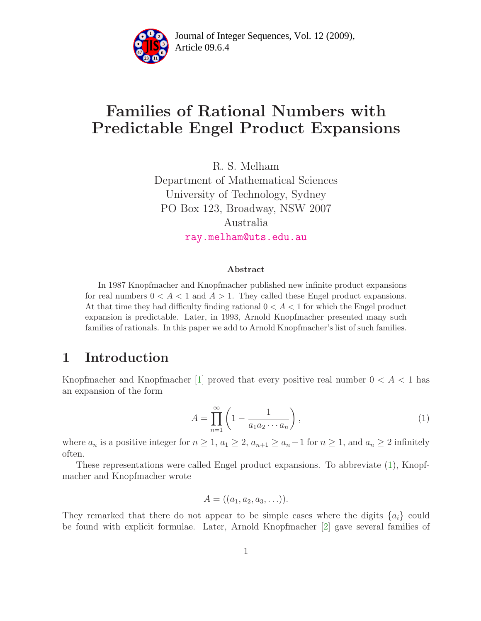

Article 09.6.4 **<sup>2</sup>** Journal of Integer Sequences, Vol. 12 (2009),

# Families of Rational Numbers with Predictable Engel Product Expansions

R. S. Melham Department of Mathematical Sciences University of Technology, Sydney PO Box 123, Broadway, NSW 2007 Australia [ray.melham@uts.edu.au](mailto:ray.melham@uts.edu.au)

#### Abstract

In 1987 Knopfmacher and Knopfmacher published new infinite product expansions for real numbers  $0 < A < 1$  and  $A > 1$ . They called these Engel product expansions. At that time they had difficulty finding rational  $0 < A < 1$  for which the Engel product expansion is predictable. Later, in 1993, Arnold Knopfmacher presented many such families of rationals. In this paper we add to Arnold Knopfmacher's list of such families.

#### 1 Introduction

<span id="page-0-0"></span>Knopfmacher and Knopfmacher [\[1\]](#page-6-0) proved that every positive real number  $0 < A < 1$  has an expansion of the form

$$
A = \prod_{n=1}^{\infty} \left( 1 - \frac{1}{a_1 a_2 \cdots a_n} \right),\tag{1}
$$

where  $a_n$  is a positive integer for  $n \geq 1$ ,  $a_1 \geq 2$ ,  $a_{n+1} \geq a_n-1$  for  $n \geq 1$ , and  $a_n \geq 2$  infinitely often.

These representations were called Engel product expansions. To abbreviate [\(1\)](#page-0-0), Knopfmacher and Knopfmacher wrote

$$
A = ((a_1, a_2, a_3, \ldots)).
$$

They remarked that there do not appear to be simple cases where the digits  $\{a_i\}$  could be found with explicit formulae. Later, Arnold Knopfmacher [\[2\]](#page-6-1) gave several families of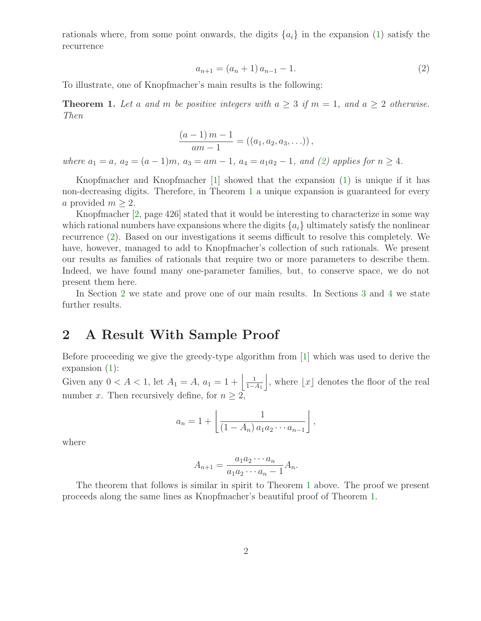<span id="page-1-0"></span>rationals where, from some point onwards, the digits  $\{a_i\}$  in the expansion [\(1\)](#page-0-0) satisfy the recurrence

$$
a_{n+1} = (a_n + 1)a_{n-1} - 1.
$$
\n(2)

<span id="page-1-1"></span>To illustrate, one of Knopfmacher's main results is the following:

**Theorem 1.** Let a and m be positive integers with  $a \geq 3$  if  $m = 1$ , and  $a \geq 2$  otherwise. Then

$$
\frac{(a-1)m-1}{am-1} = ((a_1, a_2, a_3, \ldots)),
$$

where  $a_1 = a$ ,  $a_2 = (a - 1)m$ ,  $a_3 = am - 1$ ,  $a_4 = a_1a_2 - 1$ , and [\(2\)](#page-1-0) applies for  $n \ge 4$ .

Knopfmacher and Knopfmacher [\[1\]](#page-6-0) showed that the expansion [\(1\)](#page-0-0) is unique if it has non-decreasing digits. Therefore, in Theorem [1](#page-1-1) a unique expansion is guaranteed for every a provided  $m \geq 2$ .

Knopfmacher [\[2,](#page-6-1) page 426] stated that it would be interesting to characterize in some way which rational numbers have expansions where the digits  $\{a_i\}$  ultimately satisfy the nonlinear recurrence [\(2\)](#page-1-0). Based on our investigations it seems difficult to resolve this completely. We have, however, managed to add to Knopfmacher's collection of such rationals. We present our results as families of rationals that require two or more parameters to describe them. Indeed, we have found many one-parameter families, but, to conserve space, we do not present them here.

In Section [2](#page-1-2) we state and prove one of our main results. In Sections [3](#page-4-0) and [4](#page-5-0) we state further results.

### <span id="page-1-2"></span>2 A Result With Sample Proof

Before proceeding we give the greedy-type algorithm from [\[1\]](#page-6-0) which was used to derive the expansion [\(1\)](#page-0-0):

Given any  $0 < A < 1$ , let  $A_1 = A$ ,  $a_1 = 1 + \left| \frac{1}{1-A_1} \right|$ , where  $\lfloor x \rfloor$  denotes the floor of the real number x. Then recursively define, for  $n \geq 2$ ,

$$
a_n = 1 + \left[ \frac{1}{(1 - A_n) a_1 a_2 \cdots a_{n-1}} \right],
$$

where

$$
A_{n+1} = \frac{a_1 a_2 \cdots a_n}{a_1 a_2 \cdots a_n - 1} A_n.
$$

<span id="page-1-3"></span>The theorem that follows is similar in spirit to Theorem [1](#page-1-1) above. The proof we present proceeds along the same lines as Knopfmacher's beautiful proof of Theorem [1.](#page-1-1)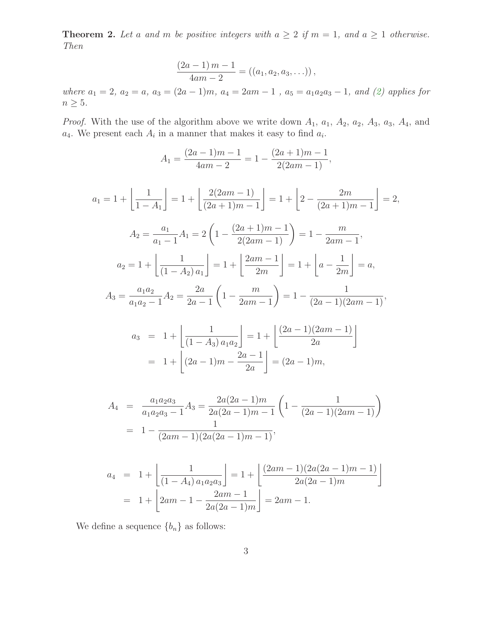**Theorem 2.** Let a and m be positive integers with  $a \geq 2$  if  $m = 1$ , and  $a \geq 1$  otherwise. Then

$$
\frac{(2a-1)m-1}{4am-2} = ((a_1, a_2, a_3, \ldots)),
$$

where  $a_1 = 2$ ,  $a_2 = a$ ,  $a_3 = (2a - 1)m$ ,  $a_4 = 2am - 1$ ,  $a_5 = a_1a_2a_3 - 1$ , and  $(2)$  applies for  $n\geq 5.$ 

*Proof.* With the use of the algorithm above we write down  $A_1$ ,  $a_1$ ,  $A_2$ ,  $a_2$ ,  $A_3$ ,  $a_3$ ,  $A_4$ , and  $a_4$ . We present each  $A_i$  in a manner that makes it easy to find  $a_i$ .

$$
A_1 = \frac{(2a-1)m-1}{4am-2} = 1 - \frac{(2a+1)m-1}{2(2am-1)},
$$

$$
a_1 = 1 + \left\lfloor \frac{1}{1 - A_1} \right\rfloor = 1 + \left\lfloor \frac{2(2am - 1)}{(2a + 1)m - 1} \right\rfloor = 1 + \left\lfloor 2 - \frac{2m}{(2a + 1)m - 1} \right\rfloor = 2,
$$
  
\n
$$
A_2 = \frac{a_1}{a_1 - 1} A_1 = 2 \left( 1 - \frac{(2a + 1)m - 1}{2(2am - 1)} \right) = 1 - \frac{m}{2am - 1},
$$
  
\n
$$
a_2 = 1 + \left\lfloor \frac{1}{(1 - A_2) a_1} \right\rfloor = 1 + \left\lfloor \frac{2am - 1}{2m} \right\rfloor = 1 + \left\lfloor a - \frac{1}{2m} \right\rfloor = a,
$$
  
\n
$$
A_3 = \frac{a_1 a_2}{a_1 a_2 - 1} A_2 = \frac{2a}{2a - 1} \left( 1 - \frac{m}{2am - 1} \right) = 1 - \frac{1}{(2a - 1)(2am - 1)},
$$

$$
a_3 = 1 + \left[ \frac{1}{(1 - A_3) a_1 a_2} \right] = 1 + \left[ \frac{(2a - 1)(2am - 1)}{2a} \right]
$$

$$
= 1 + \left[ (2a - 1)m - \frac{2a - 1}{2a} \right] = (2a - 1)m,
$$

$$
A_4 = \frac{a_1 a_2 a_3}{a_1 a_2 a_3 - 1} A_3 = \frac{2a(2a - 1)m}{2a(2a - 1)m - 1} \left( 1 - \frac{1}{(2a - 1)(2am - 1)} \right)
$$
  
= 
$$
1 - \frac{1}{(2am - 1)(2a(2a - 1)m - 1)},
$$

$$
a_4 = 1 + \left[ \frac{1}{(1 - A_4) a_1 a_2 a_3} \right] = 1 + \left[ \frac{(2am - 1)(2a(2a - 1)m - 1)}{2a(2a - 1)m} \right]
$$
  
= 1 + \left[ 2am - 1 - \frac{2am - 1}{2a(2a - 1)m} \right] = 2am - 1.

We define a sequence  ${b_n}$  as follows: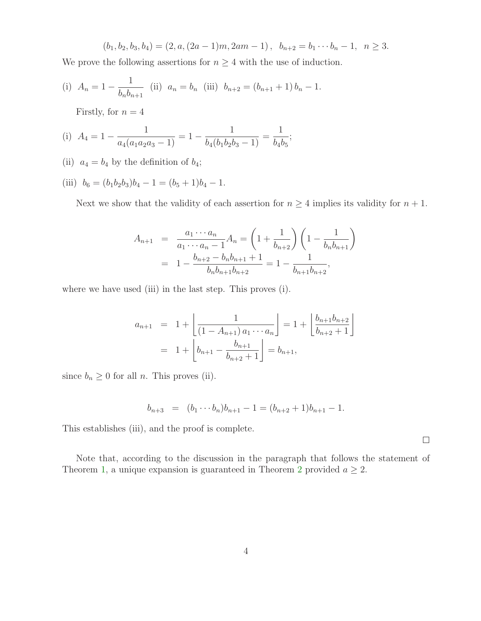$$
(b_1, b_2, b_3, b_4) = (2, a, (2a - 1)m, 2am - 1), b_{n+2} = b_1 \cdots b_n - 1, n \ge 3.
$$

We prove the following assertions for  $n \geq 4$  with the use of induction.

(i) 
$$
A_n = 1 - \frac{1}{b_n b_{n+1}}
$$
 (ii)  $a_n = b_n$  (iii)  $b_{n+2} = (b_{n+1} + 1) b_n - 1$ .

Firstly, for  $n = 4$ 

(i) 
$$
A_4 = 1 - \frac{1}{a_4(a_1a_2a_3 - 1)} = 1 - \frac{1}{b_4(b_1b_2b_3 - 1)} = \frac{1}{b_4b_5};
$$

(ii)  $a_4 = b_4$  by the definition of  $b_4$ ;

(iii) 
$$
b_6 = (b_1b_2b_3)b_4 - 1 = (b_5 + 1)b_4 - 1.
$$

Next we show that the validity of each assertion for  $n \geq 4$  implies its validity for  $n + 1$ .

$$
A_{n+1} = \frac{a_1 \cdots a_n}{a_1 \cdots a_n - 1} A_n = \left( 1 + \frac{1}{b_{n+2}} \right) \left( 1 - \frac{1}{b_n b_{n+1}} \right)
$$
  
= 
$$
1 - \frac{b_{n+2} - b_n b_{n+1} + 1}{b_n b_{n+1} b_{n+2}} = 1 - \frac{1}{b_{n+1} b_{n+2}},
$$

where we have used (iii) in the last step. This proves (i).

$$
a_{n+1} = 1 + \left\lfloor \frac{1}{(1 - A_{n+1}) a_1 \cdots a_n} \right\rfloor = 1 + \left\lfloor \frac{b_{n+1} b_{n+2}}{b_{n+2} + 1} \right\rfloor
$$
  
= 1 +  $\left\lfloor b_{n+1} - \frac{b_{n+1}}{b_{n+2} + 1} \right\rfloor = b_{n+1},$ 

since  $b_n \geq 0$  for all *n*. This proves (ii).

$$
b_{n+3} = (b_1 \cdots b_n)b_{n+1} - 1 = (b_{n+2} + 1)b_{n+1} - 1.
$$

This establishes (iii), and the proof is complete.

Note that, according to the discussion in the paragraph that follows the statement of Theorem [1,](#page-1-1) a unique expansion is guaranteed in Theorem [2](#page-1-3) provided  $a \geq 2$ .

 $\Box$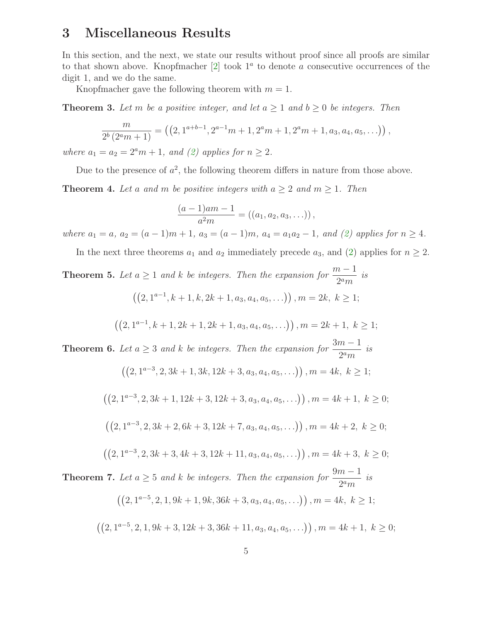#### <span id="page-4-0"></span>3 Miscellaneous Results

In this section, and the next, we state our results without proof since all proofs are similar to that shown above. Knopfmacher  $[2]$  took  $1^a$  to denote a consecutive occurrences of the digit 1, and we do the same.

Knopfmacher gave the following theorem with  $m = 1$ .

**Theorem 3.** Let m be a positive integer, and let  $a \ge 1$  and  $b \ge 0$  be integers. Then

$$
\frac{m}{2^b (2^a m + 1)} = ((2, 1^{a+b-1}, 2^{a-1} m + 1, 2^a m + 1, 2^a m + 1, a_3, a_4, a_5, \ldots)),
$$

where  $a_1 = a_2 = 2^a m + 1$ , and [\(2\)](#page-1-0) applies for  $n \geq 2$ .

Due to the presence of  $a^2$ , the following theorem differs in nature from those above.

**Theorem 4.** Let a and m be positive integers with  $a \geq 2$  and  $m \geq 1$ . Then

$$
\frac{(a-1)am-1}{a^2m} = ((a_1, a_2, a_3, \ldots)),
$$

where  $a_1 = a$ ,  $a_2 = (a-1)m + 1$ ,  $a_3 = (a-1)m$ ,  $a_4 = a_1a_2 - 1$ , and [\(2\)](#page-1-0) applies for  $n \ge 4$ .

In the next three theorems  $a_1$  and  $a_2$  immediately precede  $a_3$ , and [\(2\)](#page-1-0) applies for  $n \geq 2$ .

**Theorem 5.** Let  $a \ge 1$  and k be integers. Then the expansion for  $\frac{m-1}{2a}$  $\frac{1}{2^a m}$  is  $((2, 1^{a-1}, k+1, k, 2k+1, a_3, a_4, a_5, \ldots)), m = 2k, k \ge 1;$ 

$$
((2, 1^{a-1}, k+1, 2k+1, 2k+1, a_3, a_4, a_5, \ldots)), m = 2k+1, k \ge 1;
$$

**Theorem 6.** Let  $a \geq 3$  and k be integers. Then the expansion for  $\frac{3m-1}{2a}$  $\frac{n}{2^a m}$  is

$$
((2, 1^{a-3}, 2, 3k+1, 3k, 12k+3, a_3, a_4, a_5, \ldots)), m = 4k, k \ge 1;
$$

$$
((2, 1^{a-3}, 2, 3k+1, 12k+3, 12k+3, a_3, a_4, a_5, \ldots)), m = 4k+1, k \ge 0;
$$

$$
((2, 1a-3, 2, 3k+2, 6k+3, 12k+7, a3, a4, a5, \ldots)), m = 4k+2, k \ge 0;
$$

$$
((2, 1^{a-3}, 2, 3k+3, 4k+3, 12k+11, a_3, a_4, a_5, \ldots)), m = 4k+3, k \ge 0;
$$

**Theorem 7.** Let  $a \geq 5$  and k be integers. Then the expansion for  $\frac{9m-1}{2a}$  $\frac{n}{2^a m}$  is

$$
((2, 1^{a-5}, 2, 1, 9k+1, 9k, 36k+3, a_3, a_4, a_5, \ldots)), m = 4k, k \ge 1;
$$

$$
((2, 1^{a-5}, 2, 1, 9k+3, 12k+3, 36k+11, a_3, a_4, a_5, \ldots)), m = 4k+1, k \ge 0;
$$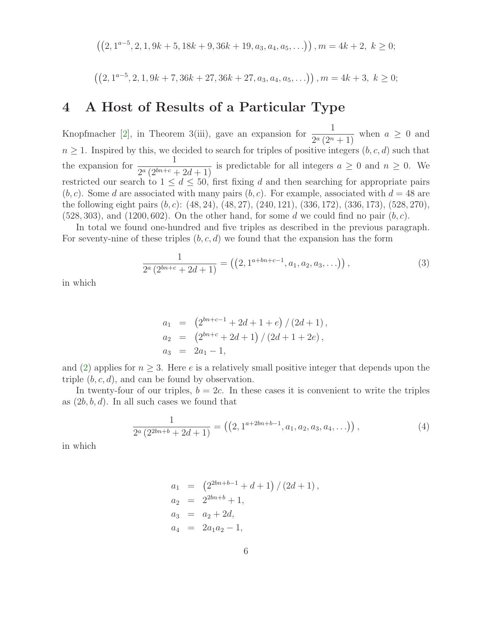$$
((2, 1^{a-5}, 2, 1, 9k+5, 18k+9, 36k+19, a_3, a_4, a_5, \ldots)), m = 4k+2, k \ge 0;
$$

$$
((2, 1^{a-5}, 2, 1, 9k+7, 36k+27, 36k+27, a_3, a_4, a_5, \ldots)), m = 4k+3, k \ge 0;
$$

#### <span id="page-5-0"></span>4 A Host of Results of a Particular Type

Knopfmacher [\[2\]](#page-6-1), in Theorem 3(iii), gave an expansion for  $\frac{1}{2}$  $\frac{1}{2^a(2^n+1)}$  when  $a \geq 0$  and  $n \geq 1$ . Inspired by this, we decided to search for triples of positive integers  $(b, c, d)$  such that the expansion for  $\frac{1}{\log(\Omega h)^{1/2}}$  $\frac{1}{2^a(2^{bn+c}+2d+1)}$  is predictable for all integers  $a \geq 0$  and  $n \geq 0$ . We restricted our search to  $1 \leq d \leq 50$ , first fixing d and then searching for appropriate pairs  $(b, c)$ . Some d are associated with many pairs  $(b, c)$ . For example, associated with  $d = 48$  are the following eight pairs (b,c): (48, 24), (48, 27), (240, 121), (336, 172), (336, 173), (528, 270),  $(528, 303)$ , and  $(1200, 602)$ . On the other hand, for some d we could find no pair  $(b, c)$ .

<span id="page-5-2"></span>In total we found one-hundred and five triples as described in the previous paragraph. For seventy-nine of these triples  $(b, c, d)$  we found that the expansion has the form

$$
\frac{1}{2^a\left(2^{bn+c} + 2d + 1\right)} = \left(\left(2, 1^{a+bn+c-1}, a_1, a_2, a_3, \ldots\right)\right),\tag{3}
$$

in which

$$
a_1 = (2^{bn+c-1} + 2d + 1 + e) / (2d + 1),
$$
  
\n
$$
a_2 = (2^{bn+c} + 2d + 1) / (2d + 1 + 2e),
$$
  
\n
$$
a_3 = 2a_1 - 1,
$$

and [\(2\)](#page-1-0) applies for  $n \geq 3$ . Here e is a relatively small positive integer that depends upon the triple  $(b, c, d)$ , and can be found by observation.

<span id="page-5-1"></span>In twenty-four of our triples,  $b = 2c$ . In these cases it is convenient to write the triples as  $(2b, b, d)$ . In all such cases we found that

$$
\frac{1}{2^a \left(2^{2bn+b} + 2d + 1\right)} = \left( \left(2, 1^{a+2bn+b-1}, a_1, a_2, a_3, a_4, \ldots\right) \right),\tag{4}
$$

in which

$$
a_1 = (2^{2bn+b-1} + d + 1) / (2d + 1),
$$
  
\n
$$
a_2 = 2^{2bn+b} + 1,
$$
  
\n
$$
a_3 = a_2 + 2d,
$$
  
\n
$$
a_4 = 2a_1a_2 - 1,
$$